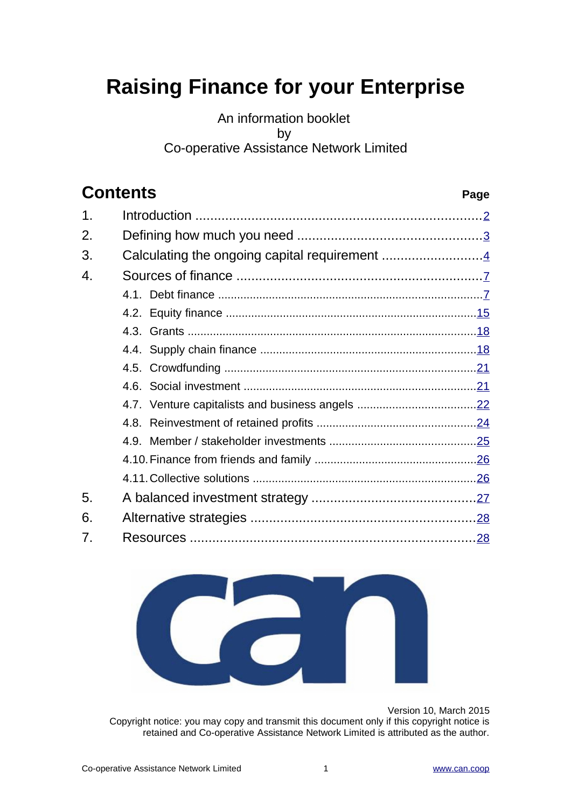# **Raising Finance for your Enterprise**

### An information booklet by Co-operative Assistance Network Limited

# **Contents Page**

| 1. |                                               |  |
|----|-----------------------------------------------|--|
| 2. |                                               |  |
| 3. | Calculating the ongoing capital requirement 4 |  |
| 4. |                                               |  |
|    |                                               |  |
|    |                                               |  |
|    |                                               |  |
|    |                                               |  |
|    |                                               |  |
|    |                                               |  |
|    |                                               |  |
|    |                                               |  |
|    |                                               |  |
|    |                                               |  |
|    |                                               |  |
| 5. |                                               |  |
| 6. |                                               |  |
| 7. |                                               |  |



Version 10, March 2015

Copyright notice: you may copy and transmit this document only if this copyright notice is retained and Co-operative Assistance Network Limited is attributed as the author.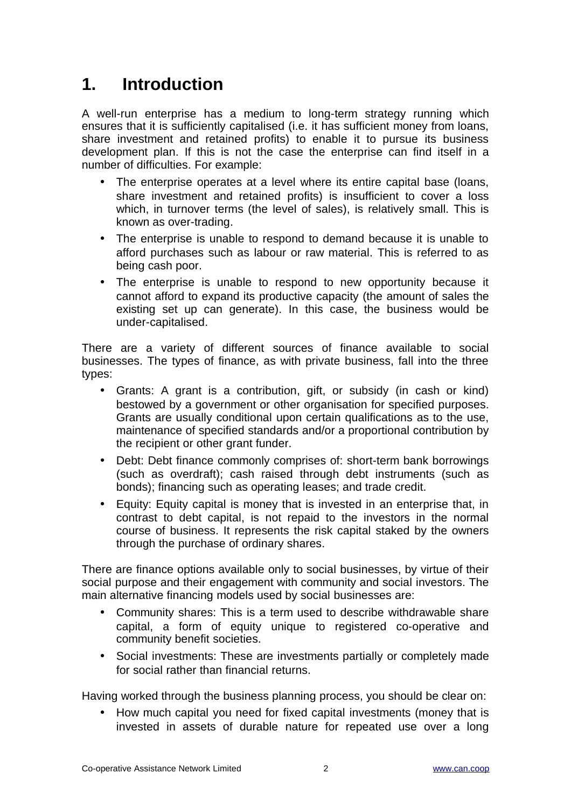# <span id="page-1-0"></span>**1. Introduction**

A well-run enterprise has a medium to long-term strategy running which ensures that it is sufficiently capitalised (i.e. it has sufficient money from loans, share investment and retained profits) to enable it to pursue its business development plan. If this is not the case the enterprise can find itself in a number of difficulties. For example:

- The enterprise operates at a level where its entire capital base (loans, share investment and retained profits) is insufficient to cover a loss which, in turnover terms (the level of sales), is relatively small. This is known as over-trading.
- The enterprise is unable to respond to demand because it is unable to afford purchases such as labour or raw material. This is referred to as being cash poor.
- The enterprise is unable to respond to new opportunity because it cannot afford to expand its productive capacity (the amount of sales the existing set up can generate). In this case, the business would be under-capitalised.

There are a variety of different sources of finance available to social businesses. The types of finance, as with private business, fall into the three types:

- Grants: A grant is a contribution, gift, or subsidy (in cash or kind) bestowed by a government or other organisation for specified purposes. Grants are usually conditional upon certain qualifications as to the use, maintenance of specified standards and/or a proportional contribution by the recipient or other grant funder.
- Debt: Debt finance commonly comprises of: short-term bank borrowings (such as overdraft); cash raised through debt instruments (such as bonds); financing such as operating leases; and trade credit.
- Equity: Equity capital is money that is invested in an enterprise that, in contrast to debt capital, is not repaid to the investors in the normal course of business. It represents the risk capital staked by the owners through the purchase of ordinary shares.

There are finance options available only to social businesses, by virtue of their social purpose and their engagement with community and social investors. The main alternative financing models used by social businesses are:

- Community shares: This is a term used to describe withdrawable share capital, a form of equity unique to registered co-operative and community benefit societies.
- Social investments: These are investments partially or completely made for social rather than financial returns.

Having worked through the business planning process, you should be clear on:

• How much capital you need for fixed capital investments (money that is invested in assets of durable nature for repeated use over a long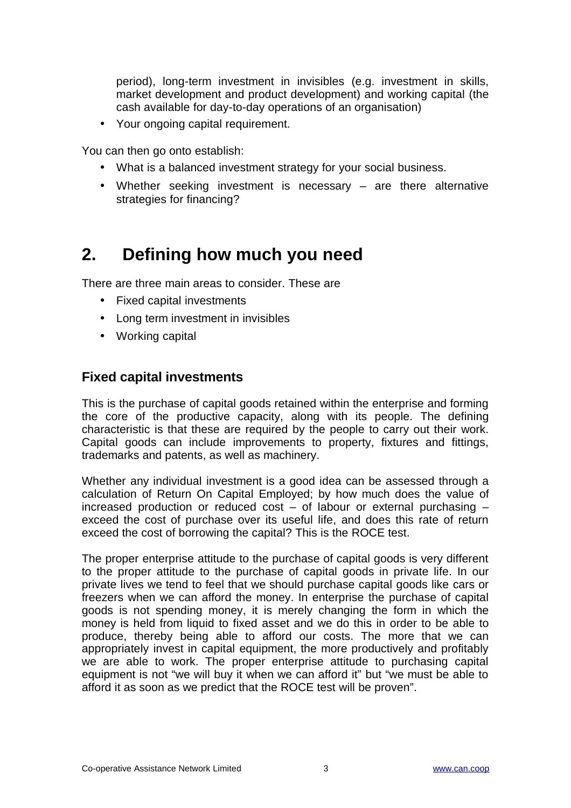period), long-term investment in invisibles (e.g. investment in skills, market development and product development) and working capital (the cash available for day-to-day operations of an organisation)

• Your ongoing capital requirement.

You can then go onto establish:

- What is a balanced investment strategy for your social business.
- Whether seeking investment is necessary are there alternative strategies for financing?

# <span id="page-2-0"></span>**2. Defining how much you need**

There are three main areas to consider. These are

- Fixed capital investments
- Long term investment in invisibles
- Working capital

#### **Fixed capital investments**

This is the purchase of capital goods retained within the enterprise and forming the core of the productive capacity, along with its people. The defining characteristic is that these are required by the people to carry out their work. Capital goods can include improvements to property, fixtures and fittings, trademarks and patents, as well as machinery.

Whether any individual investment is a good idea can be assessed through a calculation of Return On Capital Employed; by how much does the value of increased production or reduced cost – of labour or external purchasing – exceed the cost of purchase over its useful life, and does this rate of return exceed the cost of borrowing the capital? This is the ROCE test.

The proper enterprise attitude to the purchase of capital goods is very different to the proper attitude to the purchase of capital goods in private life. In our private lives we tend to feel that we should purchase capital goods like cars or freezers when we can afford the money. In enterprise the purchase of capital goods is not spending money, it is merely changing the form in which the money is held from liquid to fixed asset and we do this in order to be able to produce, thereby being able to afford our costs. The more that we can appropriately invest in capital equipment, the more productively and profitably we are able to work. The proper enterprise attitude to purchasing capital equipment is not "we will buy it when we can afford it" but "we must be able to afford it as soon as we predict that the ROCE test will be proven".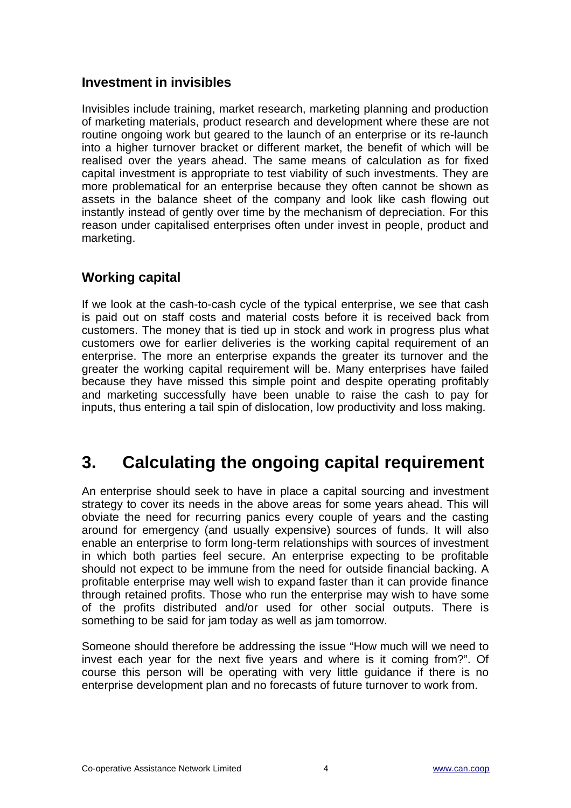#### **Investment in invisibles**

Invisibles include training, market research, marketing planning and production of marketing materials, product research and development where these are not routine ongoing work but geared to the launch of an enterprise or its re-launch into a higher turnover bracket or different market, the benefit of which will be realised over the years ahead. The same means of calculation as for fixed capital investment is appropriate to test viability of such investments. They are more problematical for an enterprise because they often cannot be shown as assets in the balance sheet of the company and look like cash flowing out instantly instead of gently over time by the mechanism of depreciation. For this reason under capitalised enterprises often under invest in people, product and marketing.

#### **Working capital**

If we look at the cash-to-cash cycle of the typical enterprise, we see that cash is paid out on staff costs and material costs before it is received back from customers. The money that is tied up in stock and work in progress plus what customers owe for earlier deliveries is the working capital requirement of an enterprise. The more an enterprise expands the greater its turnover and the greater the working capital requirement will be. Many enterprises have failed because they have missed this simple point and despite operating profitably and marketing successfully have been unable to raise the cash to pay for inputs, thus entering a tail spin of dislocation, low productivity and loss making.

## <span id="page-3-0"></span>**3. Calculating the ongoing capital requirement**

An enterprise should seek to have in place a capital sourcing and investment strategy to cover its needs in the above areas for some years ahead. This will obviate the need for recurring panics every couple of years and the casting around for emergency (and usually expensive) sources of funds. It will also enable an enterprise to form long-term relationships with sources of investment in which both parties feel secure. An enterprise expecting to be profitable should not expect to be immune from the need for outside financial backing. A profitable enterprise may well wish to expand faster than it can provide finance through retained profits. Those who run the enterprise may wish to have some of the profits distributed and/or used for other social outputs. There is something to be said for jam today as well as jam tomorrow.

Someone should therefore be addressing the issue "How much will we need to invest each year for the next five years and where is it coming from?". Of course this person will be operating with very little guidance if there is no enterprise development plan and no forecasts of future turnover to work from.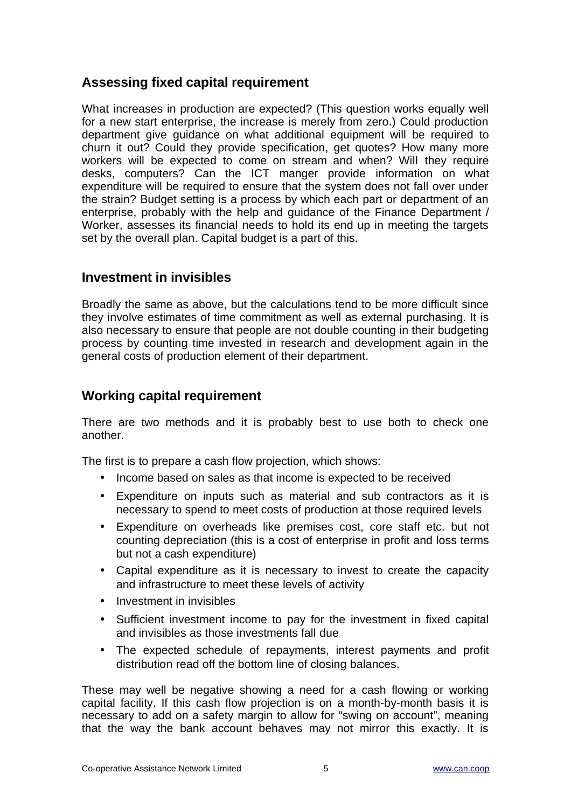#### **Assessing fixed capital requirement**

What increases in production are expected? (This question works equally well for a new start enterprise, the increase is merely from zero.) Could production department give guidance on what additional equipment will be required to churn it out? Could they provide specification, get quotes? How many more workers will be expected to come on stream and when? Will they require desks, computers? Can the ICT manger provide information on what expenditure will be required to ensure that the system does not fall over under the strain? Budget setting is a process by which each part or department of an enterprise, probably with the help and guidance of the Finance Department / Worker, assesses its financial needs to hold its end up in meeting the targets set by the overall plan. Capital budget is a part of this.

#### **Investment in invisibles**

Broadly the same as above, but the calculations tend to be more difficult since they involve estimates of time commitment as well as external purchasing. It is also necessary to ensure that people are not double counting in their budgeting process by counting time invested in research and development again in the general costs of production element of their department.

#### **Working capital requirement**

There are two methods and it is probably best to use both to check one another.

The first is to prepare a cash flow projection, which shows:

- Income based on sales as that income is expected to be received
- Expenditure on inputs such as material and sub contractors as it is necessary to spend to meet costs of production at those required levels
- Expenditure on overheads like premises cost, core staff etc. but not counting depreciation (this is a cost of enterprise in profit and loss terms but not a cash expenditure)
- Capital expenditure as it is necessary to invest to create the capacity and infrastructure to meet these levels of activity
- Investment in invisibles
- Sufficient investment income to pay for the investment in fixed capital and invisibles as those investments fall due
- The expected schedule of repayments, interest payments and profit distribution read off the bottom line of closing balances.

These may well be negative showing a need for a cash flowing or working capital facility. If this cash flow projection is on a month-by-month basis it is necessary to add on a safety margin to allow for "swing on account", meaning that the way the bank account behaves may not mirror this exactly. It is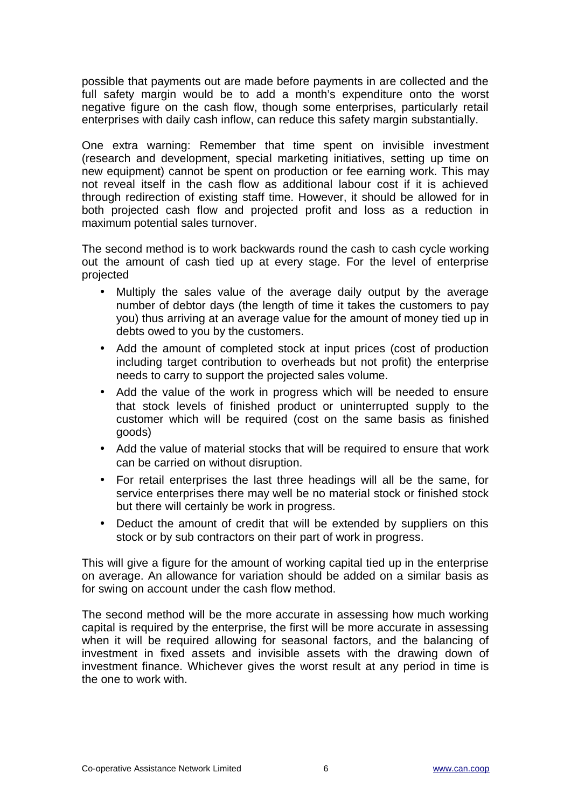possible that payments out are made before payments in are collected and the full safety margin would be to add a month's expenditure onto the worst negative figure on the cash flow, though some enterprises, particularly retail enterprises with daily cash inflow, can reduce this safety margin substantially.

One extra warning: Remember that time spent on invisible investment (research and development, special marketing initiatives, setting up time on new equipment) cannot be spent on production or fee earning work. This may not reveal itself in the cash flow as additional labour cost if it is achieved through redirection of existing staff time. However, it should be allowed for in both projected cash flow and projected profit and loss as a reduction in maximum potential sales turnover.

The second method is to work backwards round the cash to cash cycle working out the amount of cash tied up at every stage. For the level of enterprise projected

- Multiply the sales value of the average daily output by the average number of debtor days (the length of time it takes the customers to pay you) thus arriving at an average value for the amount of money tied up in debts owed to you by the customers.
- Add the amount of completed stock at input prices (cost of production including target contribution to overheads but not profit) the enterprise needs to carry to support the projected sales volume.
- Add the value of the work in progress which will be needed to ensure that stock levels of finished product or uninterrupted supply to the customer which will be required (cost on the same basis as finished goods)
- Add the value of material stocks that will be required to ensure that work can be carried on without disruption.
- For retail enterprises the last three headings will all be the same, for service enterprises there may well be no material stock or finished stock but there will certainly be work in progress.
- Deduct the amount of credit that will be extended by suppliers on this stock or by sub contractors on their part of work in progress.

This will give a figure for the amount of working capital tied up in the enterprise on average. An allowance for variation should be added on a similar basis as for swing on account under the cash flow method.

The second method will be the more accurate in assessing how much working capital is required by the enterprise, the first will be more accurate in assessing when it will be required allowing for seasonal factors, and the balancing of investment in fixed assets and invisible assets with the drawing down of investment finance. Whichever gives the worst result at any period in time is the one to work with.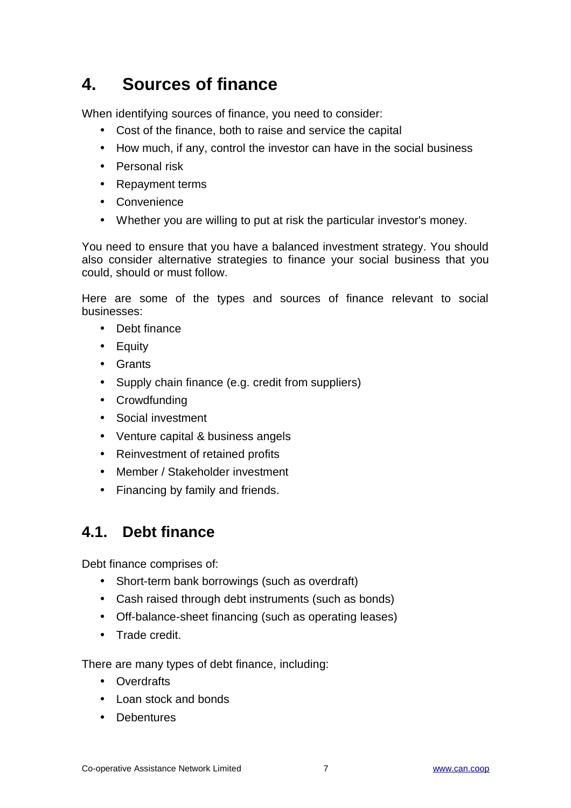# <span id="page-6-0"></span>**4. Sources of finance**

When identifying sources of finance, you need to consider:

- Cost of the finance, both to raise and service the capital
- How much, if any, control the investor can have in the social business
- Personal risk
- Repayment terms
- Convenience
- Whether you are willing to put at risk the particular investor's money.

You need to ensure that you have a balanced investment strategy. You should also consider alternative strategies to finance your social business that you could, should or must follow.

Here are some of the types and sources of finance relevant to social businesses:

- Debt finance
- Equity
- Grants
- Supply chain finance (e.g. credit from suppliers)
- Crowdfunding
- Social investment
- Venture capital & business angels
- Reinvestment of retained profits
- Member / Stakeholder investment
- Financing by family and friends.

### <span id="page-6-1"></span>**4.1. Debt finance**

Debt finance comprises of:

- Short-term bank borrowings (such as overdraft)
- Cash raised through debt instruments (such as bonds)
- Off-balance-sheet financing (such as operating leases)
- Trade credit.

There are many types of debt finance, including:

- Overdrafts
- Loan stock and bonds
- Debentures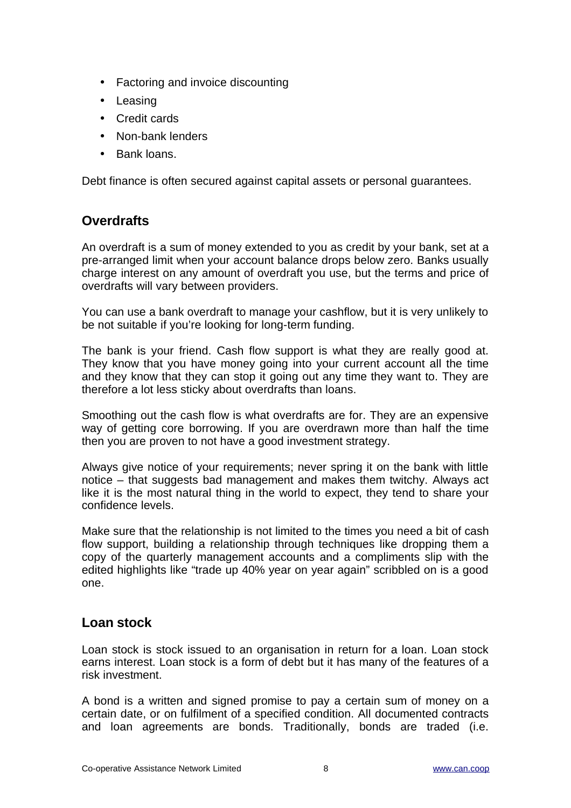- Factoring and invoice discounting
- Leasing
- Credit cards
- Non-bank lenders
- Bank loans.

Debt finance is often secured against capital assets or personal guarantees.

#### **Overdrafts**

An overdraft is a sum of money extended to you as credit by your bank, set at a pre-arranged limit when your account balance drops below zero. Banks usually charge interest on any amount of overdraft you use, but the terms and price of overdrafts will vary between providers.

You can use a bank overdraft to manage your cashflow, but it is very unlikely to be not suitable if you're looking for long-term funding.

The bank is your friend. Cash flow support is what they are really good at. They know that you have money going into your current account all the time and they know that they can stop it going out any time they want to. They are therefore a lot less sticky about overdrafts than loans.

Smoothing out the cash flow is what overdrafts are for. They are an expensive way of getting core borrowing. If you are overdrawn more than half the time then you are proven to not have a good investment strategy.

Always give notice of your requirements; never spring it on the bank with little notice – that suggests bad management and makes them twitchy. Always act like it is the most natural thing in the world to expect, they tend to share your confidence levels.

Make sure that the relationship is not limited to the times you need a bit of cash flow support, building a relationship through techniques like dropping them a copy of the quarterly management accounts and a compliments slip with the edited highlights like "trade up 40% year on year again" scribbled on is a good one.

#### **Loan stock**

Loan stock is stock issued to an organisation in return for a loan. Loan stock earns interest. Loan stock is a form of debt but it has many of the features of a risk investment.

A bond is a written and signed promise to pay a certain sum of money on a certain date, or on fulfilment of a specified condition. All documented contracts and loan agreements are bonds. Traditionally, bonds are traded (i.e.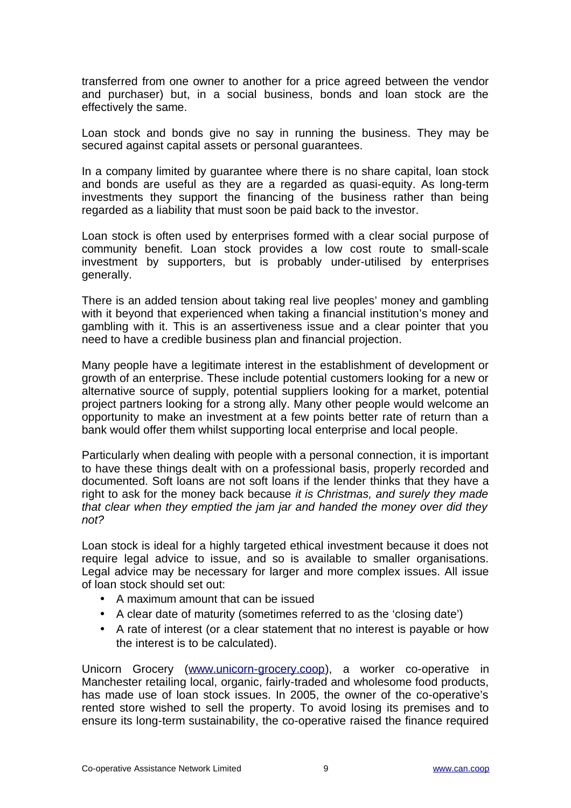transferred from one owner to another for a price agreed between the vendor and purchaser) but, in a social business, bonds and loan stock are the effectively the same.

Loan stock and bonds give no say in running the business. They may be secured against capital assets or personal guarantees.

In a company limited by guarantee where there is no share capital, loan stock and bonds are useful as they are a regarded as quasi-equity. As long-term investments they support the financing of the business rather than being regarded as a liability that must soon be paid back to the investor.

Loan stock is often used by enterprises formed with a clear social purpose of community benefit. Loan stock provides a low cost route to small-scale investment by supporters, but is probably under-utilised by enterprises generally.

There is an added tension about taking real live peoples' money and gambling with it beyond that experienced when taking a financial institution's money and gambling with it. This is an assertiveness issue and a clear pointer that you need to have a credible business plan and financial projection.

Many people have a legitimate interest in the establishment of development or growth of an enterprise. These include potential customers looking for a new or alternative source of supply, potential suppliers looking for a market, potential project partners looking for a strong ally. Many other people would welcome an opportunity to make an investment at a few points better rate of return than a bank would offer them whilst supporting local enterprise and local people.

Particularly when dealing with people with a personal connection, it is important to have these things dealt with on a professional basis, properly recorded and documented. Soft loans are not soft loans if the lender thinks that they have a right to ask for the money back because *it is Christmas, and surely they made that clear when they emptied the jam jar and handed the money over did they not?*

Loan stock is ideal for a highly targeted ethical investment because it does not require legal advice to issue, and so is available to smaller organisations. Legal advice may be necessary for larger and more complex issues. All issue of loan stock should set out:

- A maximum amount that can be issued
- A clear date of maturity (sometimes referred to as the 'closing date')
- A rate of interest (or a clear statement that no interest is payable or how the interest is to be calculated).

Unicorn Grocery [\(www.unicorn-grocery.coop\)](http://www.unicorn-grocery.coop/), a worker co-operative in Manchester retailing local, organic, fairly-traded and wholesome food products, has made use of loan stock issues. In 2005, the owner of the co-operative's rented store wished to sell the property. To avoid losing its premises and to ensure its long-term sustainability, the co-operative raised the finance required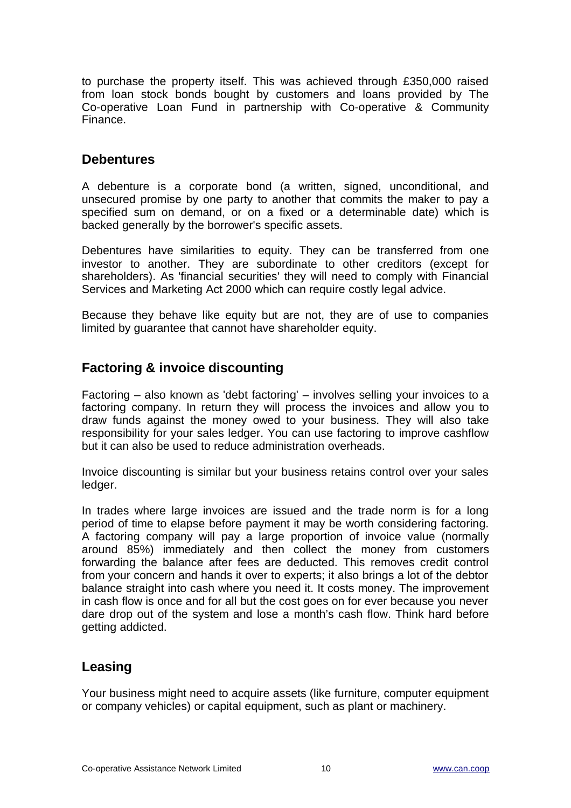to purchase the property itself. This was achieved through £350,000 raised from loan stock bonds bought by customers and loans provided by The Co-operative Loan Fund in partnership with Co-operative & Community Finance.

#### **Debentures**

A debenture is a corporate bond (a written, signed, unconditional, and unsecured promise by one party to another that commits the maker to pay a specified sum on demand, or on a fixed or a determinable date) which is backed generally by the borrower's specific assets.

Debentures have similarities to equity. They can be transferred from one investor to another. They are subordinate to other creditors (except for shareholders). As 'financial securities' they will need to comply with Financial Services and Marketing Act 2000 which can require costly legal advice.

Because they behave like equity but are not, they are of use to companies limited by guarantee that cannot have shareholder equity.

#### **Factoring & invoice discounting**

Factoring – also known as 'debt factoring' – involves selling your invoices to a factoring company. In return they will process the invoices and allow you to draw funds against the money owed to your business. They will also take responsibility for your sales ledger. You can use factoring to improve cashflow but it can also be used to reduce administration overheads.

Invoice discounting is similar but your business retains control over your sales ledger.

In trades where large invoices are issued and the trade norm is for a long period of time to elapse before payment it may be worth considering factoring. A factoring company will pay a large proportion of invoice value (normally around 85%) immediately and then collect the money from customers forwarding the balance after fees are deducted. This removes credit control from your concern and hands it over to experts; it also brings a lot of the debtor balance straight into cash where you need it. It costs money. The improvement in cash flow is once and for all but the cost goes on for ever because you never dare drop out of the system and lose a month's cash flow. Think hard before getting addicted.

#### **Leasing**

Your business might need to acquire assets (like furniture, computer equipment or company vehicles) or capital equipment, such as plant or machinery.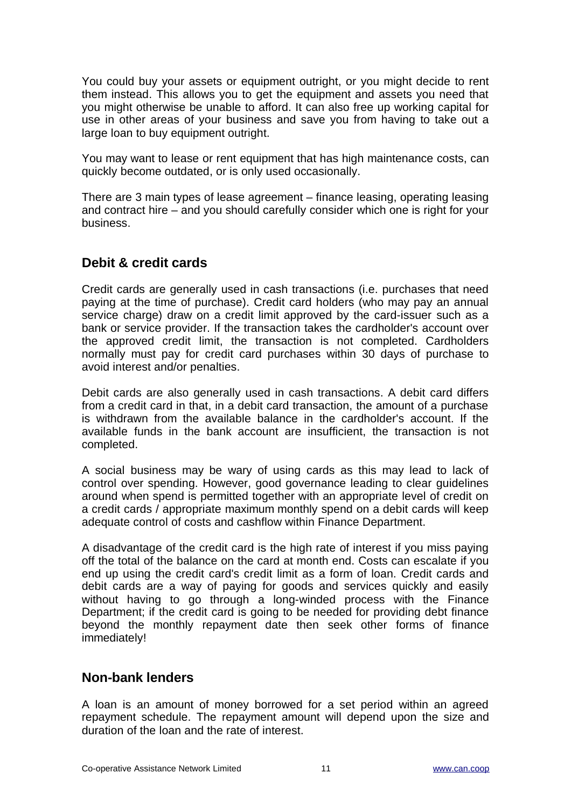You could buy your assets or equipment outright, or you might decide to rent them instead. This allows you to get the equipment and assets you need that you might otherwise be unable to afford. It can also free up working capital for use in other areas of your business and save you from having to take out a large loan to buy equipment outright.

You may want to lease or rent equipment that has high maintenance costs, can quickly become outdated, or is only used occasionally.

There are 3 main types of lease agreement – finance leasing, operating leasing and contract hire – and you should carefully consider which one is right for your business.

#### **Debit & credit cards**

Credit cards are generally used in cash transactions (i.e. purchases that need paying at the time of purchase). Credit card holders (who may pay an annual service charge) draw on a credit limit approved by the card-issuer such as a bank or service provider. If the transaction takes the cardholder's account over the approved credit limit, the transaction is not completed. Cardholders normally must pay for credit card purchases within 30 days of purchase to avoid interest and/or penalties.

Debit cards are also generally used in cash transactions. A debit card differs from a credit card in that, in a debit card transaction, the amount of a purchase is withdrawn from the available balance in the cardholder's account. If the available funds in the bank account are insufficient, the transaction is not completed.

A social business may be wary of using cards as this may lead to lack of control over spending. However, good governance leading to clear guidelines around when spend is permitted together with an appropriate level of credit on a credit cards / appropriate maximum monthly spend on a debit cards will keep adequate control of costs and cashflow within Finance Department.

A disadvantage of the credit card is the high rate of interest if you miss paying off the total of the balance on the card at month end. Costs can escalate if you end up using the credit card's credit limit as a form of loan. Credit cards and debit cards are a way of paying for goods and services quickly and easily without having to go through a long-winded process with the Finance Department; if the credit card is going to be needed for providing debt finance beyond the monthly repayment date then seek other forms of finance immediately!

#### **Non-bank lenders**

A loan is an amount of money borrowed for a set period within an agreed repayment schedule. The repayment amount will depend upon the size and duration of the loan and the rate of interest.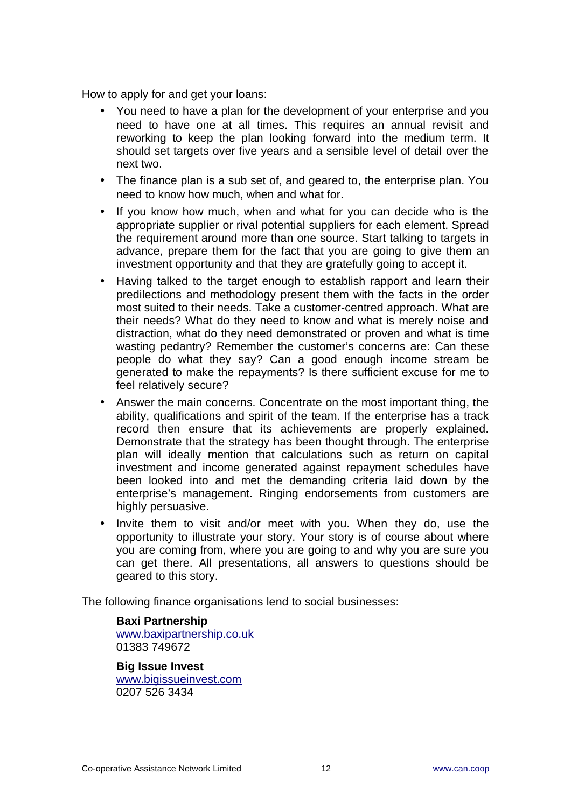How to apply for and get your loans:

- You need to have a plan for the development of your enterprise and you need to have one at all times. This requires an annual revisit and reworking to keep the plan looking forward into the medium term. It should set targets over five years and a sensible level of detail over the next two.
- The finance plan is a sub set of, and geared to, the enterprise plan. You need to know how much, when and what for.
- If you know how much, when and what for you can decide who is the appropriate supplier or rival potential suppliers for each element. Spread the requirement around more than one source. Start talking to targets in advance, prepare them for the fact that you are going to give them an investment opportunity and that they are gratefully going to accept it.
- Having talked to the target enough to establish rapport and learn their predilections and methodology present them with the facts in the order most suited to their needs. Take a customer-centred approach. What are their needs? What do they need to know and what is merely noise and distraction, what do they need demonstrated or proven and what is time wasting pedantry? Remember the customer's concerns are: Can these people do what they say? Can a good enough income stream be generated to make the repayments? Is there sufficient excuse for me to feel relatively secure?
- Answer the main concerns. Concentrate on the most important thing, the ability, qualifications and spirit of the team. If the enterprise has a track record then ensure that its achievements are properly explained. Demonstrate that the strategy has been thought through. The enterprise plan will ideally mention that calculations such as return on capital investment and income generated against repayment schedules have been looked into and met the demanding criteria laid down by the enterprise's management. Ringing endorsements from customers are highly persuasive.
- Invite them to visit and/or meet with you. When they do, use the opportunity to illustrate your story. Your story is of course about where you are coming from, where you are going to and why you are sure you can get there. All presentations, all answers to questions should be geared to this story.

The following finance organisations lend to social businesses:

**Baxi Partnership** [www.baxipartnership.co.uk](http://www.baxipartnership.co.uk/) 01383 749672

**Big Issue Invest** [www.bigissueinvest.com](http://www.bigissueinvest.com/) 0207 526 3434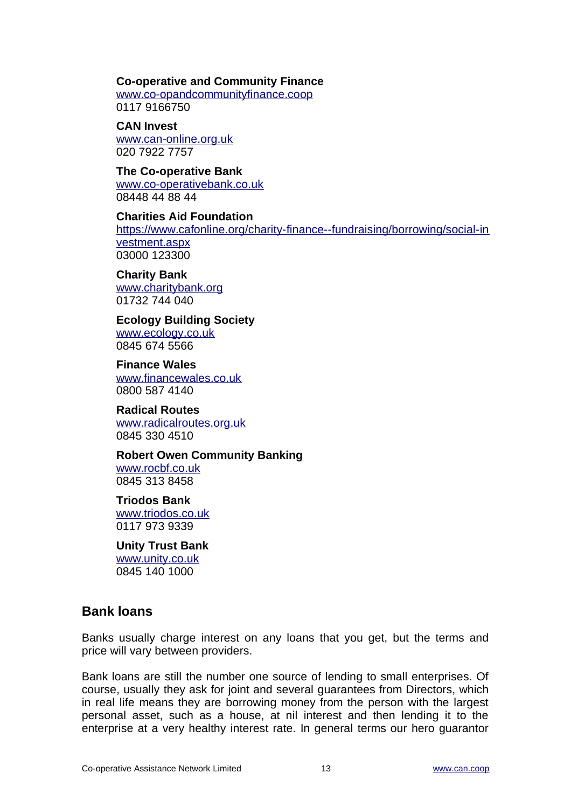#### **Co-operative and Community Finance**

[www.co-opandcommunityfinance.coop](http://www.co-opandcommunityfinance.coop/) 0117 9166750

**CAN Invest** [www.can-online.org.uk](http://www.can-online.org.uk/) 020 7922 7757

**The Co-operative Bank** [www.co-operativebank.co.uk](http://www.co-operativebank.co.uk/) 08448 44 88 44

**Charities Aid Foundation** [https://www.cafonline.org/charity-finance--fundraising/borrowing/social-in](https://www.cafonline.org/charity-finance--fundraising/borrowing/social-investment.aspx) [vestment.aspx](https://www.cafonline.org/charity-finance--fundraising/borrowing/social-investment.aspx) 03000 123300

**Charity Bank** [www.charitybank.org](http://www.charitybank.org/) 01732 744 040

**Ecology Building Society** [www.ecology.co.uk](http://www.ecology.co.uk/) 0845 674 5566

**Finance Wales** [www.financewales.co.uk](http://www.financewales.co.uk/) 0800 587 4140

**Radical Routes** [www.radicalroutes.org.uk](http://www.radicalroutes.org.uk/) 0845 330 4510

**Robert Owen Community Banking** [www.rocbf.co.uk](http://www.rocbf.co.uk/) 0845 313 8458

**Triodos Bank** [www.triodos.co.uk](http://www.triodos.co.uk/) 0117 973 9339

**Unity Trust Bank** [www.unity.co.uk](http://www.unity.co.uk/) 0845 140 1000

#### **Bank loans**

Banks usually charge interest on any loans that you get, but the terms and price will vary between providers.

Bank loans are still the number one source of lending to small enterprises. Of course, usually they ask for joint and several guarantees from Directors, which in real life means they are borrowing money from the person with the largest personal asset, such as a house, at nil interest and then lending it to the enterprise at a very healthy interest rate. In general terms our hero guarantor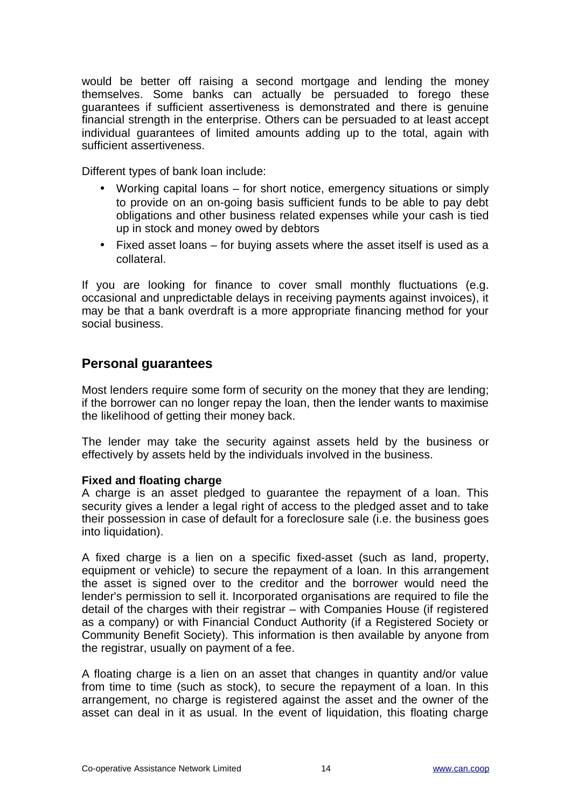would be better off raising a second mortgage and lending the money themselves. Some banks can actually be persuaded to forego these guarantees if sufficient assertiveness is demonstrated and there is genuine financial strength in the enterprise. Others can be persuaded to at least accept individual guarantees of limited amounts adding up to the total, again with sufficient assertiveness.

Different types of bank loan include:

- Working capital loans for short notice, emergency situations or simply to provide on an on-going basis sufficient funds to be able to pay debt obligations and other business related expenses while your cash is tied up in stock and money owed by debtors
- Fixed asset loans for buying assets where the asset itself is used as a collateral.

If you are looking for finance to cover small monthly fluctuations (e.g. occasional and unpredictable delays in receiving payments against invoices), it may be that a bank overdraft is a more appropriate financing method for your social business.

#### **Personal guarantees**

Most lenders require some form of security on the money that they are lending; if the borrower can no longer repay the loan, then the lender wants to maximise the likelihood of getting their money back.

The lender may take the security against assets held by the business or effectively by assets held by the individuals involved in the business.

#### **Fixed and floating charge**

A charge is an asset pledged to guarantee the repayment of a loan. This security gives a lender a legal right of access to the pledged asset and to take their possession in case of default for a foreclosure sale (i.e. the business goes into liquidation).

A fixed charge is a lien on a specific fixed-asset (such as land, property, equipment or vehicle) to secure the repayment of a loan. In this arrangement the asset is signed over to the creditor and the borrower would need the lender's permission to sell it. Incorporated organisations are required to file the detail of the charges with their registrar – with Companies House (if registered as a company) or with Financial Conduct Authority (if a Registered Society or Community Benefit Society). This information is then available by anyone from the registrar, usually on payment of a fee.

A floating charge is a lien on an asset that changes in quantity and/or value from time to time (such as stock), to secure the repayment of a loan. In this arrangement, no charge is registered against the asset and the owner of the asset can deal in it as usual. In the event of liquidation, this floating charge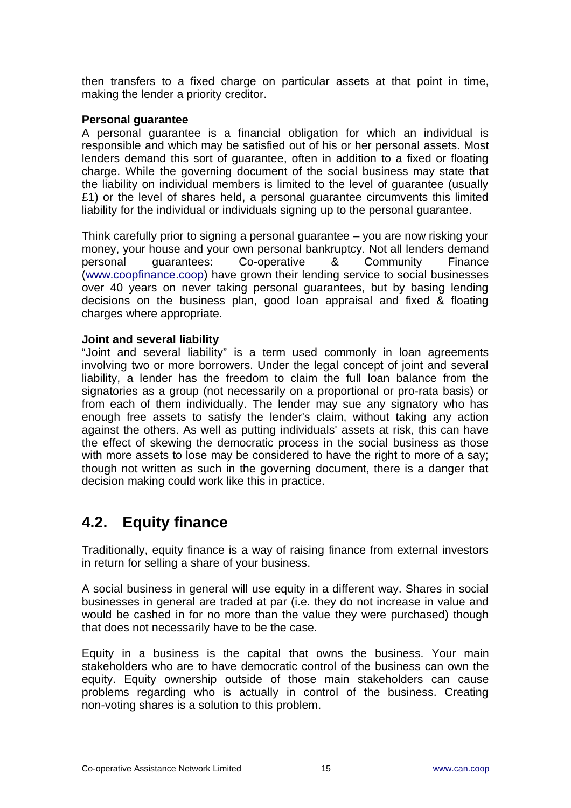then transfers to a fixed charge on particular assets at that point in time, making the lender a priority creditor.

#### **Personal guarantee**

A personal guarantee is a financial obligation for which an individual is responsible and which may be satisfied out of his or her personal assets. Most lenders demand this sort of guarantee, often in addition to a fixed or floating charge. While the governing document of the social business may state that the liability on individual members is limited to the level of guarantee (usually £1) or the level of shares held, a personal guarantee circumvents this limited liability for the individual or individuals signing up to the personal guarantee.

Think carefully prior to signing a personal guarantee – you are now risking your money, your house and your own personal bankruptcy. Not all lenders demand personal guarantees: Co-operative & Community Finance [\(www.coopfinance.coop\)](http://www.coopfinance.coop/) have grown their lending service to social businesses over 40 years on never taking personal guarantees, but by basing lending decisions on the business plan, good loan appraisal and fixed & floating charges where appropriate.

#### **Joint and several liability**

"Joint and several liability" is a term used commonly in loan agreements involving two or more borrowers. Under the legal concept of joint and several liability, a lender has the freedom to claim the full loan balance from the signatories as a group (not necessarily on a proportional or pro-rata basis) or from each of them individually. The lender may sue any signatory who has enough free assets to satisfy the lender's claim, without taking any action against the others. As well as putting individuals' assets at risk, this can have the effect of skewing the democratic process in the social business as those with more assets to lose may be considered to have the right to more of a say; though not written as such in the governing document, there is a danger that decision making could work like this in practice.

### <span id="page-14-0"></span>**4.2. Equity finance**

Traditionally, equity finance is a way of raising finance from external investors in return for selling a share of your business.

A social business in general will use equity in a different way. Shares in social businesses in general are traded at par (i.e. they do not increase in value and would be cashed in for no more than the value they were purchased) though that does not necessarily have to be the case.

Equity in a business is the capital that owns the business. Your main stakeholders who are to have democratic control of the business can own the equity. Equity ownership outside of those main stakeholders can cause problems regarding who is actually in control of the business. Creating non-voting shares is a solution to this problem.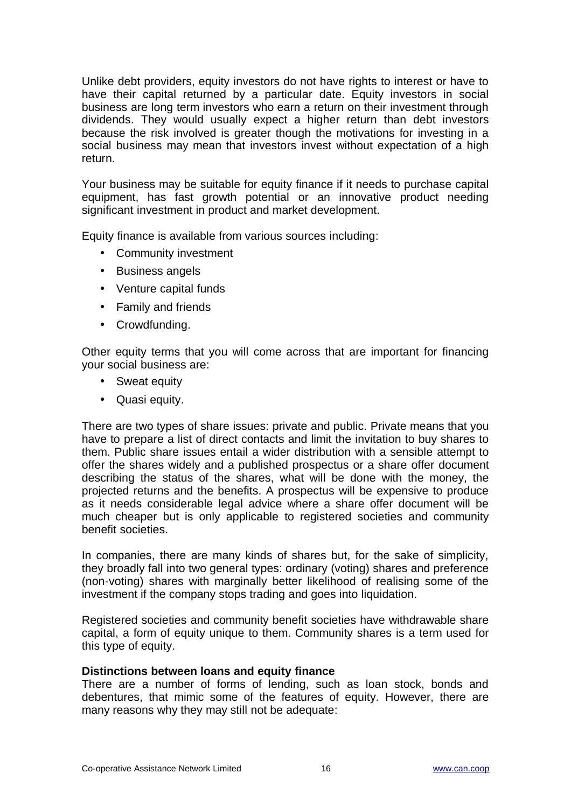Unlike debt providers, equity investors do not have rights to interest or have to have their capital returned by a particular date. Equity investors in social business are long term investors who earn a return on their investment through dividends. They would usually expect a higher return than debt investors because the risk involved is greater though the motivations for investing in a social business may mean that investors invest without expectation of a high return.

Your business may be suitable for equity finance if it needs to purchase capital equipment, has fast growth potential or an innovative product needing significant investment in product and market development.

Equity finance is available from various sources including:

- Community investment
- Business angels
- Venture capital funds
- Family and friends
- Crowdfunding.

Other equity terms that you will come across that are important for financing your social business are:

- Sweat equity
- Quasi equity.

There are two types of share issues: private and public. Private means that you have to prepare a list of direct contacts and limit the invitation to buy shares to them. Public share issues entail a wider distribution with a sensible attempt to offer the shares widely and a published prospectus or a share offer document describing the status of the shares, what will be done with the money, the projected returns and the benefits. A prospectus will be expensive to produce as it needs considerable legal advice where a share offer document will be much cheaper but is only applicable to registered societies and community benefit societies.

In companies, there are many kinds of shares but, for the sake of simplicity, they broadly fall into two general types: ordinary (voting) shares and preference (non-voting) shares with marginally better likelihood of realising some of the investment if the company stops trading and goes into liquidation.

Registered societies and community benefit societies have withdrawable share capital, a form of equity unique to them. Community shares is a term used for this type of equity.

#### **Distinctions between loans and equity finance**

There are a number of forms of lending, such as loan stock, bonds and debentures, that mimic some of the features of equity. However, there are many reasons why they may still not be adequate: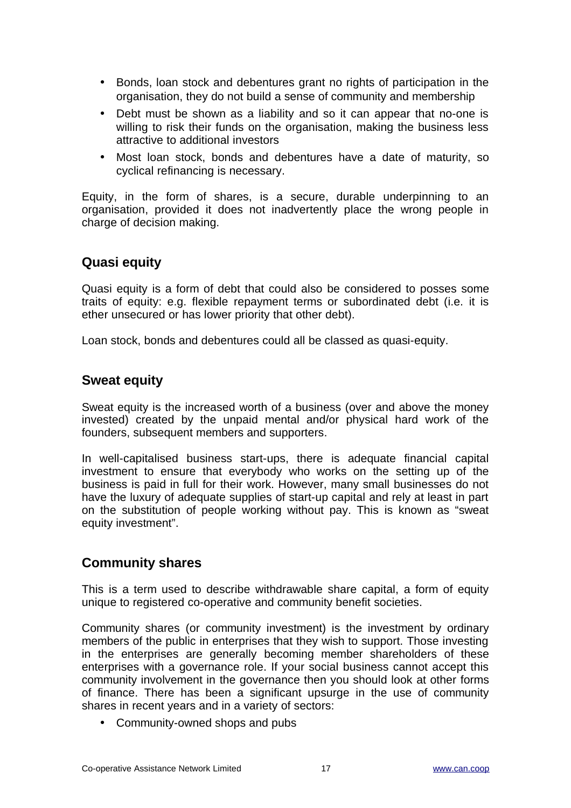- Bonds, loan stock and debentures grant no rights of participation in the organisation, they do not build a sense of community and membership
- Debt must be shown as a liability and so it can appear that no-one is willing to risk their funds on the organisation, making the business less attractive to additional investors
- Most loan stock, bonds and debentures have a date of maturity, so cyclical refinancing is necessary.

Equity, in the form of shares, is a secure, durable underpinning to an organisation, provided it does not inadvertently place the wrong people in charge of decision making.

#### **Quasi equity**

Quasi equity is a form of debt that could also be considered to posses some traits of equity: e.g. flexible repayment terms or subordinated debt (i.e. it is ether unsecured or has lower priority that other debt).

Loan stock, bonds and debentures could all be classed as quasi-equity.

#### **Sweat equity**

Sweat equity is the increased worth of a business (over and above the money invested) created by the unpaid mental and/or physical hard work of the founders, subsequent members and supporters.

In well-capitalised business start-ups, there is adequate financial capital investment to ensure that everybody who works on the setting up of the business is paid in full for their work. However, many small businesses do not have the luxury of adequate supplies of start-up capital and rely at least in part on the substitution of people working without pay. This is known as "sweat equity investment".

#### **Community shares**

This is a term used to describe withdrawable share capital, a form of equity unique to registered co-operative and community benefit societies.

Community shares (or community investment) is the investment by ordinary members of the public in enterprises that they wish to support. Those investing in the enterprises are generally becoming member shareholders of these enterprises with a governance role. If your social business cannot accept this community involvement in the governance then you should look at other forms of finance. There has been a significant upsurge in the use of community shares in recent years and in a variety of sectors:

• Community-owned shops and pubs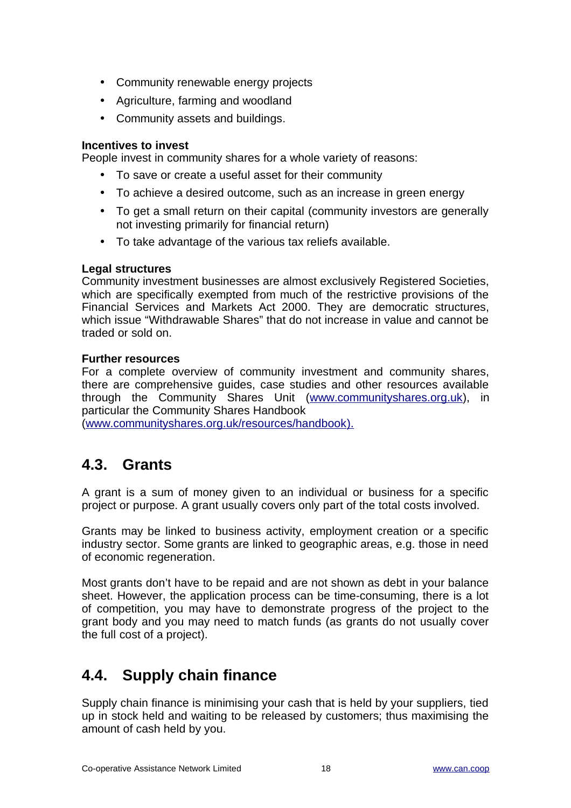- Community renewable energy projects
- Agriculture, farming and woodland
- Community assets and buildings.

#### **Incentives to invest**

People invest in community shares for a whole variety of reasons:

- To save or create a useful asset for their community
- To achieve a desired outcome, such as an increase in green energy
- To get a small return on their capital (community investors are generally not investing primarily for financial return)
- To take advantage of the various tax reliefs available.

#### **Legal structures**

Community investment businesses are almost exclusively Registered Societies, which are specifically exempted from much of the restrictive provisions of the Financial Services and Markets Act 2000. They are democratic structures, which issue "Withdrawable Shares" that do not increase in value and cannot be traded or sold on.

#### **Further resources**

For a complete overview of community investment and community shares, there are comprehensive guides, case studies and other resources available through the Community Shares Unit [\(www.communityshares.org.uk\)](http://www.communityshares.org.uk/), in particular the Community Shares Handbook

[\( www.communityshares.org.uk/resources/handbook \)](http://www.communityshares.org.uk/resources/handbook).

### <span id="page-17-1"></span>**4.3. Grants**

A grant is a sum of money given to an individual or business for a specific project or purpose. A grant usually covers only part of the total costs involved.

Grants may be linked to business activity, employment creation or a specific industry sector. Some grants are linked to geographic areas, e.g. those in need of economic regeneration.

Most grants don't have to be repaid and are not shown as debt in your balance sheet. However, the application process can be time-consuming, there is a lot of competition, you may have to demonstrate progress of the project to the grant body and you may need to match funds (as grants do not usually cover the full cost of a project).

### <span id="page-17-0"></span>**4.4. Supply chain finance**

Supply chain finance is minimising your cash that is held by your suppliers, tied up in stock held and waiting to be released by customers; thus maximising the amount of cash held by you.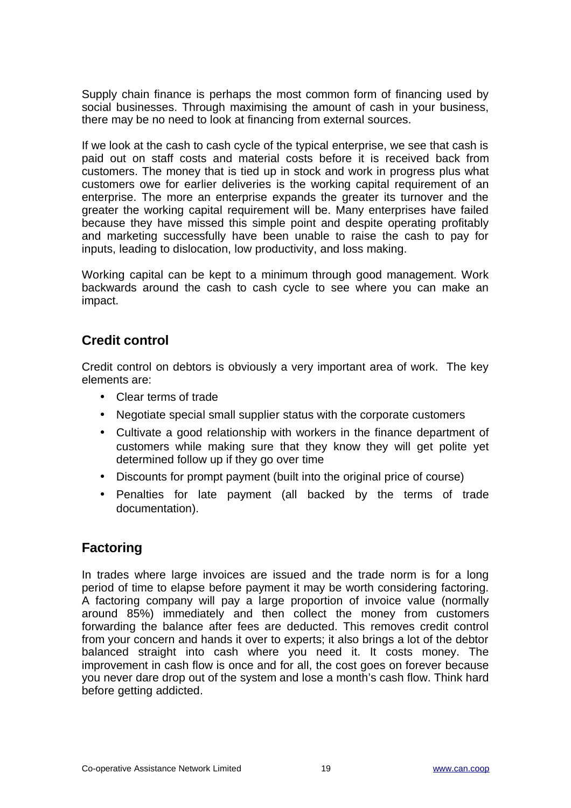Supply chain finance is perhaps the most common form of financing used by social businesses. Through maximising the amount of cash in your business, there may be no need to look at financing from external sources.

If we look at the cash to cash cycle of the typical enterprise, we see that cash is paid out on staff costs and material costs before it is received back from customers. The money that is tied up in stock and work in progress plus what customers owe for earlier deliveries is the working capital requirement of an enterprise. The more an enterprise expands the greater its turnover and the greater the working capital requirement will be. Many enterprises have failed because they have missed this simple point and despite operating profitably and marketing successfully have been unable to raise the cash to pay for inputs, leading to dislocation, low productivity, and loss making.

Working capital can be kept to a minimum through good management. Work backwards around the cash to cash cycle to see where you can make an impact.

#### **Credit control**

Credit control on debtors is obviously a very important area of work. The key elements are:

- Clear terms of trade
- Negotiate special small supplier status with the corporate customers
- Cultivate a good relationship with workers in the finance department of customers while making sure that they know they will get polite yet determined follow up if they go over time
- Discounts for prompt payment (built into the original price of course)
- Penalties for late payment (all backed by the terms of trade documentation).

#### **Factoring**

In trades where large invoices are issued and the trade norm is for a long period of time to elapse before payment it may be worth considering factoring. A factoring company will pay a large proportion of invoice value (normally around 85%) immediately and then collect the money from customers forwarding the balance after fees are deducted. This removes credit control from your concern and hands it over to experts; it also brings a lot of the debtor balanced straight into cash where you need it. It costs money. The improvement in cash flow is once and for all, the cost goes on forever because you never dare drop out of the system and lose a month's cash flow. Think hard before getting addicted.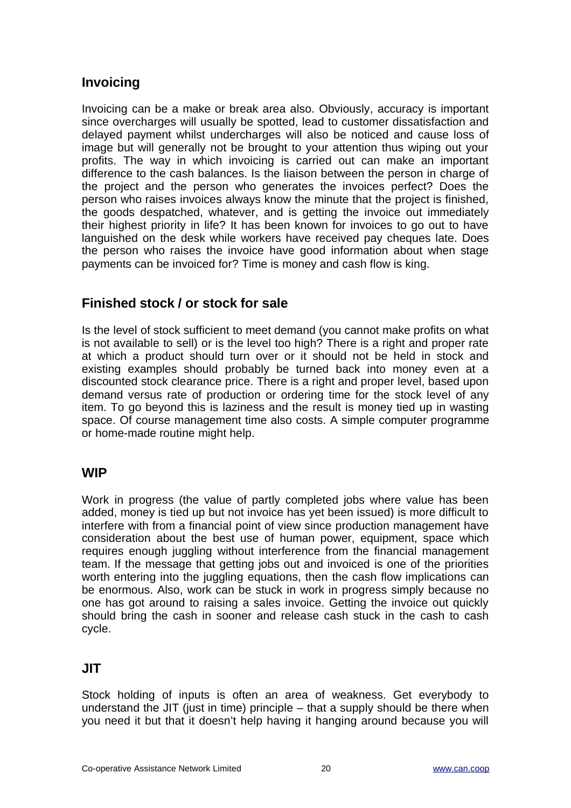### **Invoicing**

Invoicing can be a make or break area also. Obviously, accuracy is important since overcharges will usually be spotted, lead to customer dissatisfaction and delayed payment whilst undercharges will also be noticed and cause loss of image but will generally not be brought to your attention thus wiping out your profits. The way in which invoicing is carried out can make an important difference to the cash balances. Is the liaison between the person in charge of the project and the person who generates the invoices perfect? Does the person who raises invoices always know the minute that the project is finished, the goods despatched, whatever, and is getting the invoice out immediately their highest priority in life? It has been known for invoices to go out to have languished on the desk while workers have received pay cheques late. Does the person who raises the invoice have good information about when stage payments can be invoiced for? Time is money and cash flow is king.

#### **Finished stock / or stock for sale**

Is the level of stock sufficient to meet demand (you cannot make profits on what is not available to sell) or is the level too high? There is a right and proper rate at which a product should turn over or it should not be held in stock and existing examples should probably be turned back into money even at a discounted stock clearance price. There is a right and proper level, based upon demand versus rate of production or ordering time for the stock level of any item. To go beyond this is laziness and the result is money tied up in wasting space. Of course management time also costs. A simple computer programme or home-made routine might help.

#### **WIP**

Work in progress (the value of partly completed jobs where value has been added, money is tied up but not invoice has yet been issued) is more difficult to interfere with from a financial point of view since production management have consideration about the best use of human power, equipment, space which requires enough juggling without interference from the financial management team. If the message that getting jobs out and invoiced is one of the priorities worth entering into the juggling equations, then the cash flow implications can be enormous. Also, work can be stuck in work in progress simply because no one has got around to raising a sales invoice. Getting the invoice out quickly should bring the cash in sooner and release cash stuck in the cash to cash cycle.

#### **JIT**

Stock holding of inputs is often an area of weakness. Get everybody to understand the JIT (just in time) principle – that a supply should be there when you need it but that it doesn't help having it hanging around because you will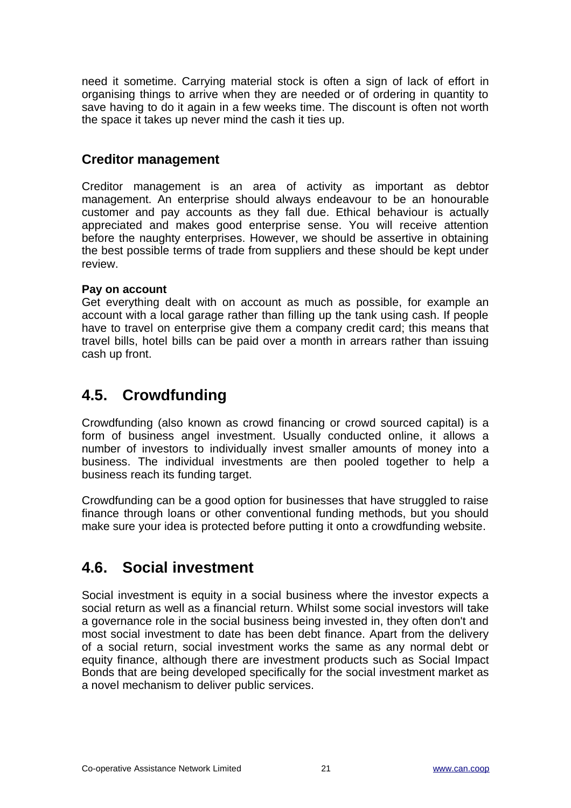need it sometime. Carrying material stock is often a sign of lack of effort in organising things to arrive when they are needed or of ordering in quantity to save having to do it again in a few weeks time. The discount is often not worth the space it takes up never mind the cash it ties up.

#### **Creditor management**

Creditor management is an area of activity as important as debtor management. An enterprise should always endeavour to be an honourable customer and pay accounts as they fall due. Ethical behaviour is actually appreciated and makes good enterprise sense. You will receive attention before the naughty enterprises. However, we should be assertive in obtaining the best possible terms of trade from suppliers and these should be kept under review.

#### **Pay on account**

Get everything dealt with on account as much as possible, for example an account with a local garage rather than filling up the tank using cash. If people have to travel on enterprise give them a company credit card; this means that travel bills, hotel bills can be paid over a month in arrears rather than issuing cash up front.

### <span id="page-20-1"></span>**4.5. Crowdfunding**

Crowdfunding (also known as crowd financing or crowd sourced capital) is a form of business angel investment. Usually conducted online, it allows a number of investors to individually invest smaller amounts of money into a business. The individual investments are then pooled together to help a business reach its funding target.

Crowdfunding can be a good option for businesses that have struggled to raise finance through loans or other conventional funding methods, but you should make sure your idea is protected before putting it onto a crowdfunding website.

### <span id="page-20-0"></span>**4.6. Social investment**

Social investment is equity in a social business where the investor expects a social return as well as a financial return. Whilst some social investors will take a governance role in the social business being invested in, they often don't and most social investment to date has been debt finance. Apart from the delivery of a social return, social investment works the same as any normal debt or equity finance, although there are investment products such as Social Impact Bonds that are being developed specifically for the social investment market as a novel mechanism to deliver public services.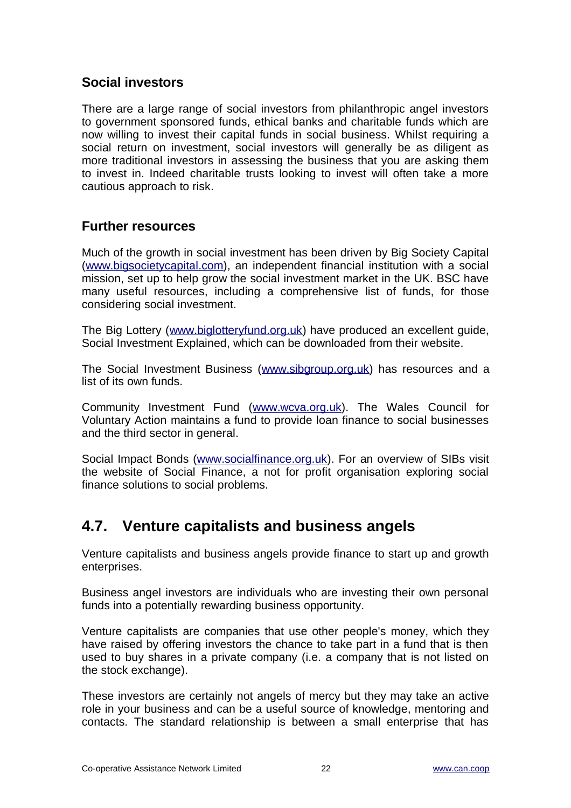#### **Social investors**

There are a large range of social investors from philanthropic angel investors to government sponsored funds, ethical banks and charitable funds which are now willing to invest their capital funds in social business. Whilst requiring a social return on investment, social investors will generally be as diligent as more traditional investors in assessing the business that you are asking them to invest in. Indeed charitable trusts looking to invest will often take a more cautious approach to risk.

#### **Further resources**

Much of the growth in social investment has been driven by Big Society Capital [\(www.bigsocietycapital.com\)](http://www.bigsocietycapital.com/), an independent financial institution with a social mission, set up to help grow the social investment market in the UK. BSC have many useful resources, including a comprehensive list of funds, for those considering social investment.

The Big Lottery [\(www.biglotteryfund.org.uk\)](http://www.biglotteryfund.org.uk/) have produced an excellent guide, Social Investment Explained, which can be downloaded from their website.

The Social Investment Business [\(www.sibgroup.org.uk\)](http://www.sibgroup.org.uk/) has resources and a list of its own funds.

Community Investment Fund [\(www.wcva.org.uk\)](http://www.wcva.org.uk/). The Wales Council for Voluntary Action maintains a fund to provide loan finance to social businesses and the third sector in general.

Social Impact Bonds [\(www.socialfinance.org.uk\)](http://www.socialfinance.org.uk/). For an overview of SIBs visit the website of Social Finance, a not for profit organisation exploring social finance solutions to social problems.

### <span id="page-21-0"></span>**4.7. Venture capitalists and business angels**

Venture capitalists and business angels provide finance to start up and growth enterprises.

Business angel investors are individuals who are investing their own personal funds into a potentially rewarding business opportunity.

Venture capitalists are companies that use other people's money, which they have raised by offering investors the chance to take part in a fund that is then used to buy shares in a private company (i.e. a company that is not listed on the stock exchange).

These investors are certainly not angels of mercy but they may take an active role in your business and can be a useful source of knowledge, mentoring and contacts. The standard relationship is between a small enterprise that has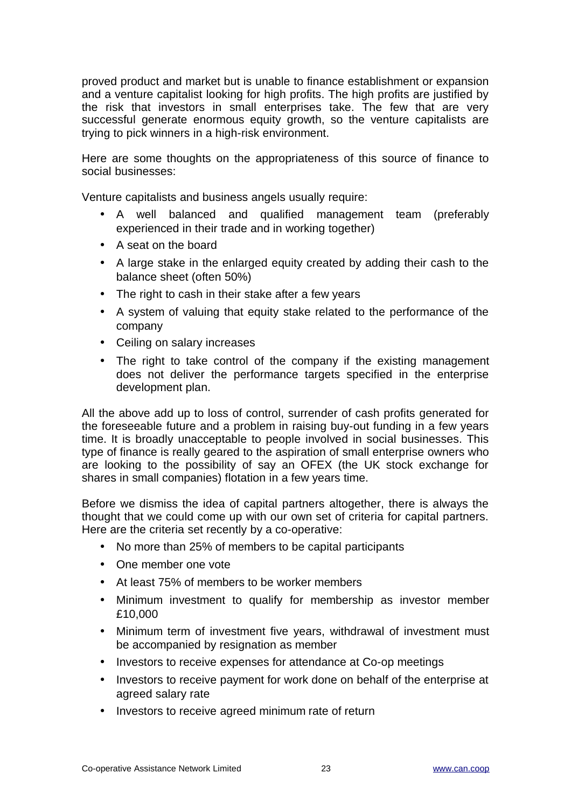proved product and market but is unable to finance establishment or expansion and a venture capitalist looking for high profits. The high profits are justified by the risk that investors in small enterprises take. The few that are very successful generate enormous equity growth, so the venture capitalists are trying to pick winners in a high-risk environment.

Here are some thoughts on the appropriateness of this source of finance to social businesses:

Venture capitalists and business angels usually require:

- A well balanced and qualified management team (preferably experienced in their trade and in working together)
- A seat on the board
- A large stake in the enlarged equity created by adding their cash to the balance sheet (often 50%)
- The right to cash in their stake after a few years
- A system of valuing that equity stake related to the performance of the company
- Ceiling on salary increases
- The right to take control of the company if the existing management does not deliver the performance targets specified in the enterprise development plan.

All the above add up to loss of control, surrender of cash profits generated for the foreseeable future and a problem in raising buy-out funding in a few years time. It is broadly unacceptable to people involved in social businesses. This type of finance is really geared to the aspiration of small enterprise owners who are looking to the possibility of say an OFEX (the UK stock exchange for shares in small companies) flotation in a few years time.

Before we dismiss the idea of capital partners altogether, there is always the thought that we could come up with our own set of criteria for capital partners. Here are the criteria set recently by a co-operative:

- No more than 25% of members to be capital participants
- One member one vote
- At least 75% of members to be worker members
- Minimum investment to qualify for membership as investor member £10,000
- Minimum term of investment five years, withdrawal of investment must be accompanied by resignation as member
- Investors to receive expenses for attendance at Co-op meetings
- Investors to receive payment for work done on behalf of the enterprise at agreed salary rate
- Investors to receive agreed minimum rate of return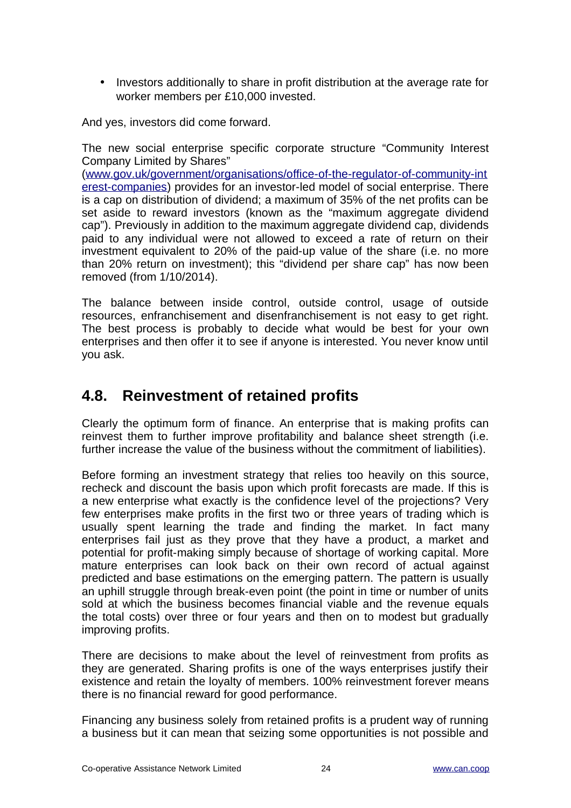• Investors additionally to share in profit distribution at the average rate for worker members per £10,000 invested.

And yes, investors did come forward.

The new social enterprise specific corporate structure "Community Interest Company Limited by Shares"

[\(www.gov.uk/government/organisations/office-of-the-regulator-of-community-int](http://www.gov.uk/government/organisations/office-of-the-regulator-of-community-interest-companies) [erest-companies\)](http://www.gov.uk/government/organisations/office-of-the-regulator-of-community-interest-companies) provides for an investor-led model of social enterprise. There is a cap on distribution of dividend; a maximum of 35% of the net profits can be set aside to reward investors (known as the "maximum aggregate dividend cap"). Previously in addition to the maximum aggregate dividend cap, dividends paid to any individual were not allowed to exceed a rate of return on their investment equivalent to 20% of the paid-up value of the share (i.e. no more than 20% return on investment); this "dividend per share cap" has now been removed (from 1/10/2014).

The balance between inside control, outside control, usage of outside resources, enfranchisement and disenfranchisement is not easy to get right. The best process is probably to decide what would be best for your own enterprises and then offer it to see if anyone is interested. You never know until you ask.

### <span id="page-23-0"></span>**4.8. Reinvestment of retained profits**

Clearly the optimum form of finance. An enterprise that is making profits can reinvest them to further improve profitability and balance sheet strength (i.e. further increase the value of the business without the commitment of liabilities).

Before forming an investment strategy that relies too heavily on this source, recheck and discount the basis upon which profit forecasts are made. If this is a new enterprise what exactly is the confidence level of the projections? Very few enterprises make profits in the first two or three years of trading which is usually spent learning the trade and finding the market. In fact many enterprises fail just as they prove that they have a product, a market and potential for profit-making simply because of shortage of working capital. More mature enterprises can look back on their own record of actual against predicted and base estimations on the emerging pattern. The pattern is usually an uphill struggle through break-even point (the point in time or number of units sold at which the business becomes financial viable and the revenue equals the total costs) over three or four years and then on to modest but gradually improving profits.

There are decisions to make about the level of reinvestment from profits as they are generated. Sharing profits is one of the ways enterprises justify their existence and retain the loyalty of members. 100% reinvestment forever means there is no financial reward for good performance.

Financing any business solely from retained profits is a prudent way of running a business but it can mean that seizing some opportunities is not possible and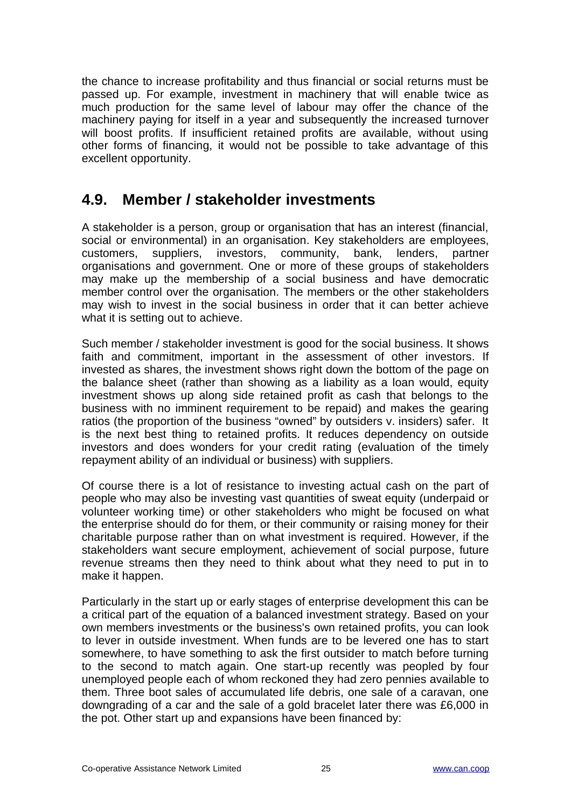the chance to increase profitability and thus financial or social returns must be passed up. For example, investment in machinery that will enable twice as much production for the same level of labour may offer the chance of the machinery paying for itself in a year and subsequently the increased turnover will boost profits. If insufficient retained profits are available, without using other forms of financing, it would not be possible to take advantage of this excellent opportunity.

### <span id="page-24-0"></span>**4.9. Member / stakeholder investments**

A stakeholder is a person, group or organisation that has an interest (financial, social or environmental) in an organisation. Key stakeholders are employees, customers, suppliers, investors, community, bank, lenders, partner organisations and government. One or more of these groups of stakeholders may make up the membership of a social business and have democratic member control over the organisation. The members or the other stakeholders may wish to invest in the social business in order that it can better achieve what it is setting out to achieve.

Such member / stakeholder investment is good for the social business. It shows faith and commitment, important in the assessment of other investors. If invested as shares, the investment shows right down the bottom of the page on the balance sheet (rather than showing as a liability as a loan would, equity investment shows up along side retained profit as cash that belongs to the business with no imminent requirement to be repaid) and makes the gearing ratios (the proportion of the business "owned" by outsiders v. insiders) safer. It is the next best thing to retained profits. It reduces dependency on outside investors and does wonders for your credit rating (evaluation of the timely repayment ability of an individual or business) with suppliers.

Of course there is a lot of resistance to investing actual cash on the part of people who may also be investing vast quantities of sweat equity (underpaid or volunteer working time) or other stakeholders who might be focused on what the enterprise should do for them, or their community or raising money for their charitable purpose rather than on what investment is required. However, if the stakeholders want secure employment, achievement of social purpose, future revenue streams then they need to think about what they need to put in to make it happen.

Particularly in the start up or early stages of enterprise development this can be a critical part of the equation of a balanced investment strategy. Based on your own members investments or the business's own retained profits, you can look to lever in outside investment. When funds are to be levered one has to start somewhere, to have something to ask the first outsider to match before turning to the second to match again. One start-up recently was peopled by four unemployed people each of whom reckoned they had zero pennies available to them. Three boot sales of accumulated life debris, one sale of a caravan, one downgrading of a car and the sale of a gold bracelet later there was £6,000 in the pot. Other start up and expansions have been financed by: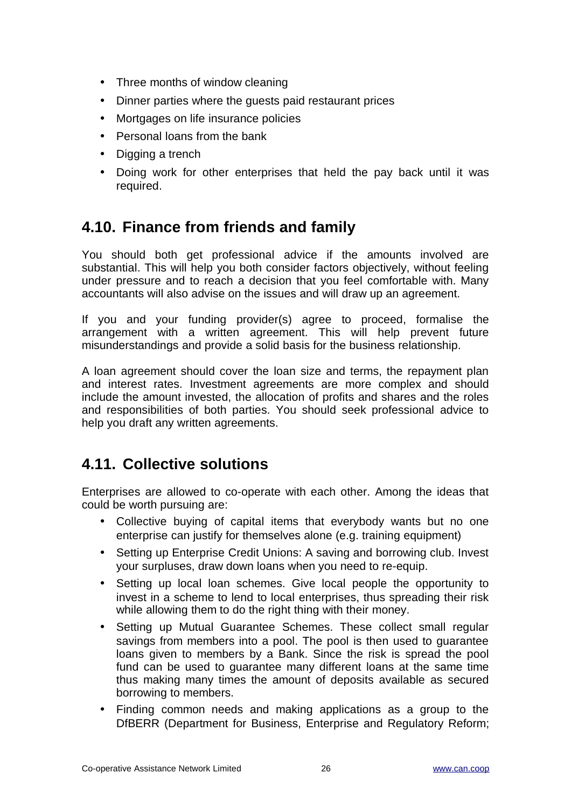- Three months of window cleaning
- Dinner parties where the guests paid restaurant prices
- Mortgages on life insurance policies
- Personal loans from the bank
- Digging a trench
- Doing work for other enterprises that held the pay back until it was required.

### <span id="page-25-1"></span>**4.10. Finance from friends and family**

You should both get professional advice if the amounts involved are substantial. This will help you both consider factors objectively, without feeling under pressure and to reach a decision that you feel comfortable with. Many accountants will also advise on the issues and will draw up an agreement.

If you and your funding provider(s) agree to proceed, formalise the arrangement with a written agreement. This will help prevent future misunderstandings and provide a solid basis for the business relationship.

A loan agreement should cover the loan size and terms, the repayment plan and interest rates. Investment agreements are more complex and should include the amount invested, the allocation of profits and shares and the roles and responsibilities of both parties. You should seek professional advice to help you draft any written agreements.

### <span id="page-25-0"></span>**4.11. Collective solutions**

Enterprises are allowed to co-operate with each other. Among the ideas that could be worth pursuing are:

- Collective buying of capital items that everybody wants but no one enterprise can justify for themselves alone (e.g. training equipment)
- Setting up Enterprise Credit Unions: A saving and borrowing club. Invest your surpluses, draw down loans when you need to re-equip.
- Setting up local loan schemes. Give local people the opportunity to invest in a scheme to lend to local enterprises, thus spreading their risk while allowing them to do the right thing with their money.
- Setting up Mutual Guarantee Schemes. These collect small regular savings from members into a pool. The pool is then used to guarantee loans given to members by a Bank. Since the risk is spread the pool fund can be used to quarantee many different loans at the same time thus making many times the amount of deposits available as secured borrowing to members.
- Finding common needs and making applications as a group to the DfBERR (Department for Business, Enterprise and Regulatory Reform;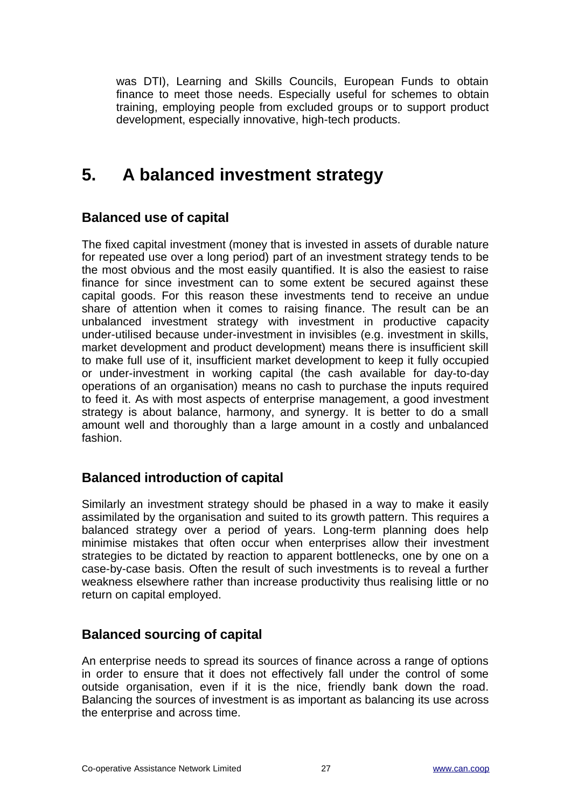was DTI), Learning and Skills Councils, European Funds to obtain finance to meet those needs. Especially useful for schemes to obtain training, employing people from excluded groups or to support product development, especially innovative, high-tech products.

# <span id="page-26-0"></span>**5. A balanced investment strategy**

#### **Balanced use of capital**

The fixed capital investment (money that is invested in assets of durable nature for repeated use over a long period) part of an investment strategy tends to be the most obvious and the most easily quantified. It is also the easiest to raise finance for since investment can to some extent be secured against these capital goods. For this reason these investments tend to receive an undue share of attention when it comes to raising finance. The result can be an unbalanced investment strategy with investment in productive capacity under-utilised because under-investment in invisibles (e.g. investment in skills, market development and product development) means there is insufficient skill to make full use of it, insufficient market development to keep it fully occupied or under-investment in working capital (the cash available for day-to-day operations of an organisation) means no cash to purchase the inputs required to feed it. As with most aspects of enterprise management, a good investment strategy is about balance, harmony, and synergy. It is better to do a small amount well and thoroughly than a large amount in a costly and unbalanced fashion.

#### **Balanced introduction of capital**

Similarly an investment strategy should be phased in a way to make it easily assimilated by the organisation and suited to its growth pattern. This requires a balanced strategy over a period of years. Long-term planning does help minimise mistakes that often occur when enterprises allow their investment strategies to be dictated by reaction to apparent bottlenecks, one by one on a case-by-case basis. Often the result of such investments is to reveal a further weakness elsewhere rather than increase productivity thus realising little or no return on capital employed.

#### **Balanced sourcing of capital**

An enterprise needs to spread its sources of finance across a range of options in order to ensure that it does not effectively fall under the control of some outside organisation, even if it is the nice, friendly bank down the road. Balancing the sources of investment is as important as balancing its use across the enterprise and across time.